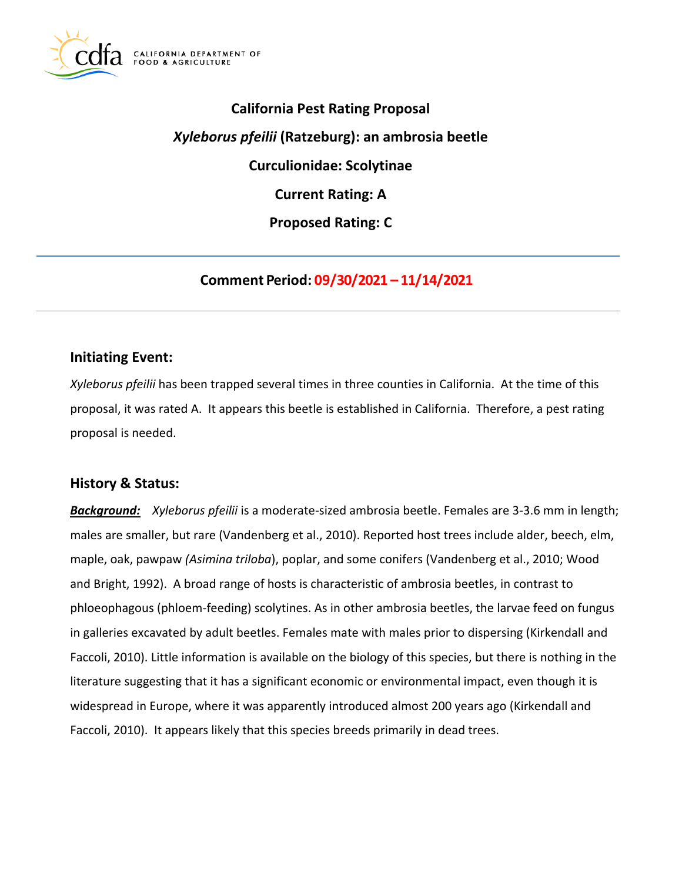

# **California Pest Rating Proposal**  *Xyleborus pfeilii* **(Ratzeburg): an ambrosia beetle Curculionidae: Scolytinae Current Rating: A Proposed Rating: C**

**Comment Period: 09/30/2021 – 11/14/2021**

#### **Initiating Event:**

*Xyleborus pfeilii* has been trapped several times in three counties in California. At the time of this proposal, it was rated A. It appears this beetle is established in California. Therefore, a pest rating proposal is needed.

#### **History & Status:**

*Background: Xyleborus pfeilii* is a moderate-sized ambrosia beetle. Females are 3-3.6 mm in length; males are smaller, but rare (Vandenberg et al., 2010). Reported host trees include alder, beech, elm, maple, oak, pawpaw *(Asimina triloba*), poplar, and some conifers (Vandenberg et al., 2010; Wood and Bright, 1992). A broad range of hosts is characteristic of ambrosia beetles, in contrast to phloeophagous (phloem-feeding) scolytines. As in other ambrosia beetles, the larvae feed on fungus in galleries excavated by adult beetles. Females mate with males prior to dispersing (Kirkendall and Faccoli, 2010). Little information is available on the biology of this species, but there is nothing in the literature suggesting that it has a significant economic or environmental impact, even though it is widespread in Europe, where it was apparently introduced almost 200 years ago (Kirkendall and Faccoli, 2010). It appears likely that this species breeds primarily in dead trees.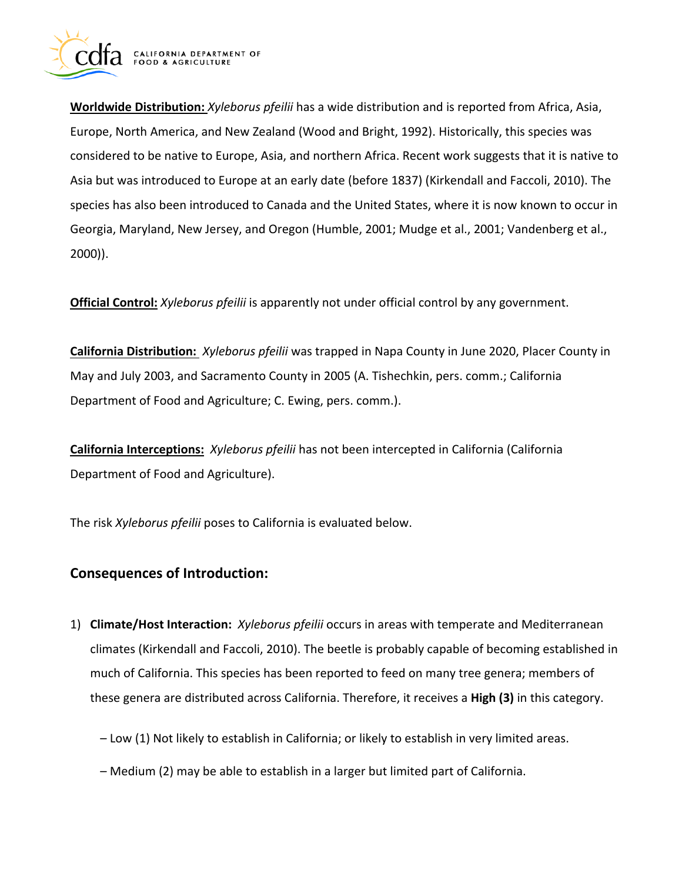

**Worldwide Distribution:** *Xyleborus pfeilii* has a wide distribution and is reported from Africa, Asia, Europe, North America, and New Zealand (Wood and Bright, 1992). Historically, this species was considered to be native to Europe, Asia, and northern Africa. Recent work suggests that it is native to Asia but was introduced to Europe at an early date (before 1837) (Kirkendall and Faccoli, 2010). The species has also been introduced to Canada and the United States, where it is now known to occur in Georgia, Maryland, New Jersey, and Oregon (Humble, 2001; Mudge et al., 2001; Vandenberg et al., 2000)).

**Official Control:** *Xyleborus pfeilii* is apparently not under official control by any government.

**California Distribution:** *Xyleborus pfeilii* was trapped in Napa County in June 2020, Placer County in May and July 2003, and Sacramento County in 2005 (A. Tishechkin, pers. comm.; California Department of Food and Agriculture; C. Ewing, pers. comm.).

**California Interceptions:** *Xyleborus pfeilii* has not been intercepted in California (California Department of Food and Agriculture).

The risk *Xyleborus pfeilii* poses to California is evaluated below.

# **Consequences of Introduction:**

- 1) **Climate/Host Interaction:** *Xyleborus pfeilii* occurs in areas with temperate and Mediterranean climates (Kirkendall and Faccoli, 2010). The beetle is probably capable of becoming established in much of California. This species has been reported to feed on many tree genera; members of these genera are distributed across California. Therefore, it receives a **High (3)** in this category.
	- Low (1) Not likely to establish in California; or likely to establish in very limited areas.
	- Medium (2) may be able to establish in a larger but limited part of California.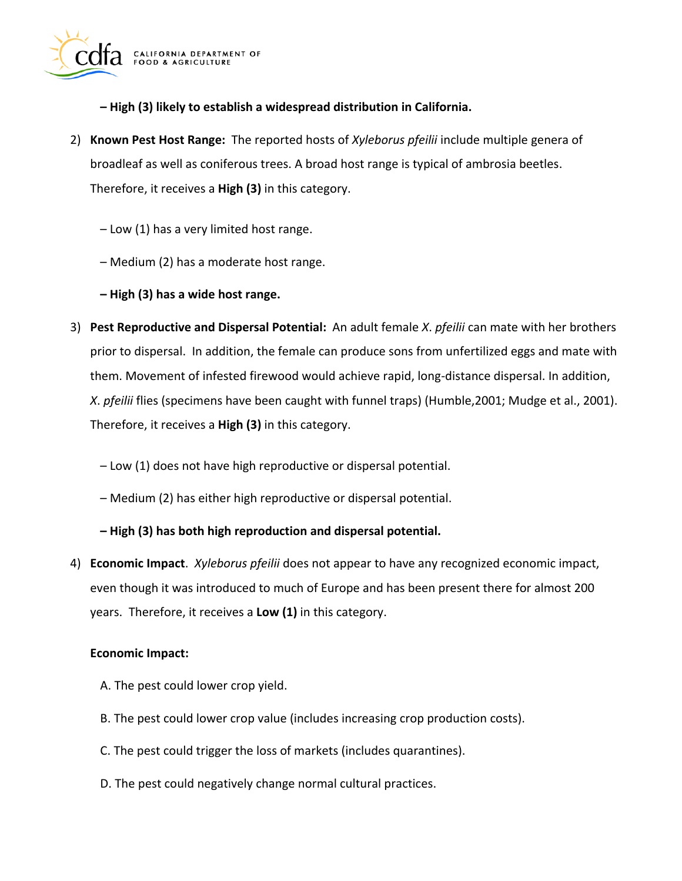

**– High (3) likely to establish a widespread distribution in California.** 

- 2) **Known Pest Host Range:** The reported hosts of *Xyleborus pfeilii* include multiple genera of broadleaf as well as coniferous trees. A broad host range is typical of ambrosia beetles. Therefore, it receives a **High (3)** in this category.
	- Low (1) has a very limited host range.
	- Medium (2) has a moderate host range.
	- **– High (3) has a wide host range.**
- 3) **Pest Reproductive and Dispersal Potential:** An adult female *X*. *pfeilii* can mate with her brothers prior to dispersal. In addition, the female can produce sons from unfertilized eggs and mate with them. Movement of infested firewood would achieve rapid, long-distance dispersal. In addition, *X*. *pfeilii* flies (specimens have been caught with funnel traps) (Humble,2001; Mudge et al., 2001). Therefore, it receives a **High (3)** in this category.
	- Low (1) does not have high reproductive or dispersal potential.
	- Medium (2) has either high reproductive or dispersal potential.
	- **– High (3) has both high reproduction and dispersal potential.**
- 4) **Economic Impact**. *Xyleborus pfeilii* does not appear to have any recognized economic impact, even though it was introduced to much of Europe and has been present there for almost 200 years. Therefore, it receives a **Low (1)** in this category.

#### **Economic Impact:**

- A. The pest could lower crop yield.
- B. The pest could lower crop value (includes increasing crop production costs).
- C. The pest could trigger the loss of markets (includes quarantines).
- D. The pest could negatively change normal cultural practices.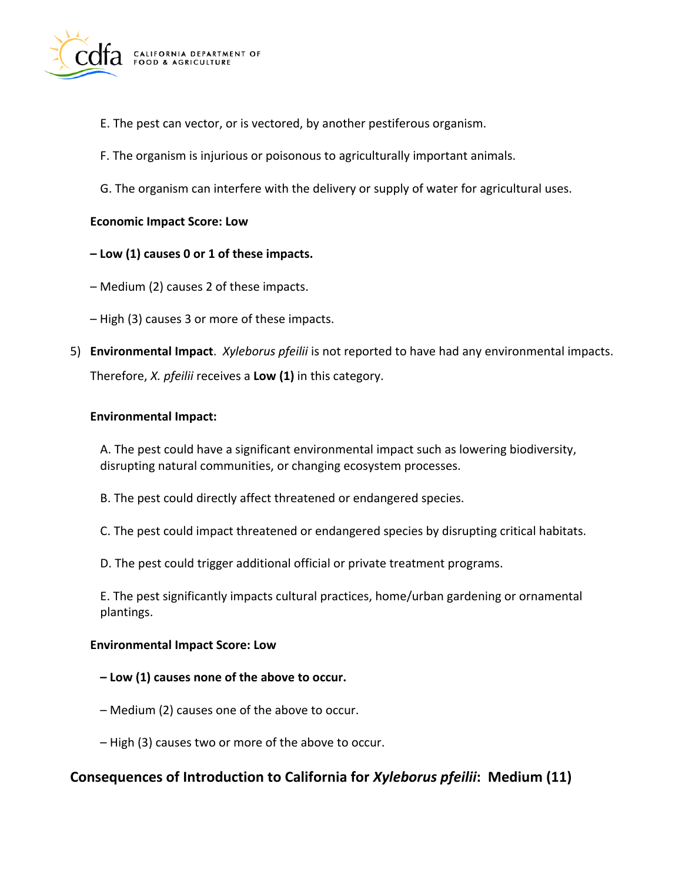

- E. The pest can vector, or is vectored, by another pestiferous organism.
- F. The organism is injurious or poisonous to agriculturally important animals.
- G. The organism can interfere with the delivery or supply of water for agricultural uses.

#### **Economic Impact Score: Low**

- **– Low (1) causes 0 or 1 of these impacts.**
- Medium (2) causes 2 of these impacts.
- High (3) causes 3 or more of these impacts.
- 5) **Environmental Impact**. *Xyleborus pfeilii* is not reported to have had any environmental impacts. Therefore, *X. pfeilii* receives a **Low (1)** in this category.

#### **Environmental Impact:**

A. The pest could have a significant environmental impact such as lowering biodiversity, disrupting natural communities, or changing ecosystem processes.

- B. The pest could directly affect threatened or endangered species.
- C. The pest could impact threatened or endangered species by disrupting critical habitats.
- D. The pest could trigger additional official or private treatment programs.

E. The pest significantly impacts cultural practices, home/urban gardening or ornamental plantings.

#### **Environmental Impact Score: Low**

- **– Low (1) causes none of the above to occur.**
- Medium (2) causes one of the above to occur.
- High (3) causes two or more of the above to occur.

## **Consequences of Introduction to California for** *Xyleborus pfeilii***: Medium (11)**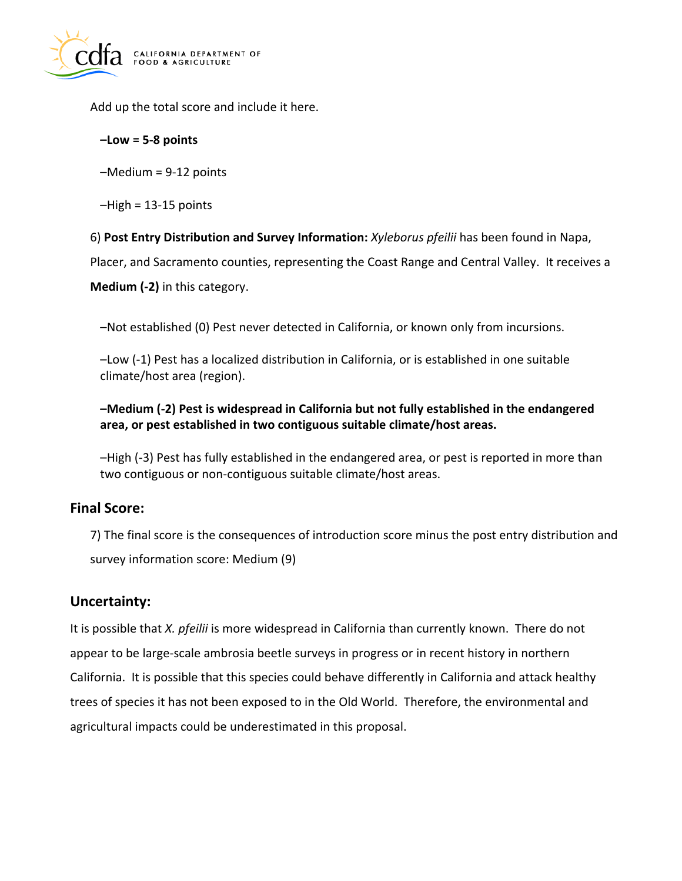

Add up the total score and include it here.

#### **–Low = 5-8 points**

–Medium = 9-12 points

 $-High = 13-15$  points

6) **Post Entry Distribution and Survey Information:** *Xyleborus pfeilii* has been found in Napa,

Placer, and Sacramento counties, representing the Coast Range and Central Valley. It receives a

**Medium (-2)** in this category.

–Not established (0) Pest never detected in California, or known only from incursions.

–Low (-1) Pest has a localized distribution in California, or is established in one suitable climate/host area (region).

#### **–Medium (-2) Pest is widespread in California but not fully established in the endangered area, or pest established in two contiguous suitable climate/host areas.**

–High (-3) Pest has fully established in the endangered area, or pest is reported in more than two contiguous or non-contiguous suitable climate/host areas.

## **Final Score:**

7) The final score is the consequences of introduction score minus the post entry distribution and survey information score: Medium (9)

## **Uncertainty:**

It is possible that *X. pfeilii* is more widespread in California than currently known. There do not appear to be large-scale ambrosia beetle surveys in progress or in recent history in northern California. It is possible that this species could behave differently in California and attack healthy trees of species it has not been exposed to in the Old World. Therefore, the environmental and agricultural impacts could be underestimated in this proposal.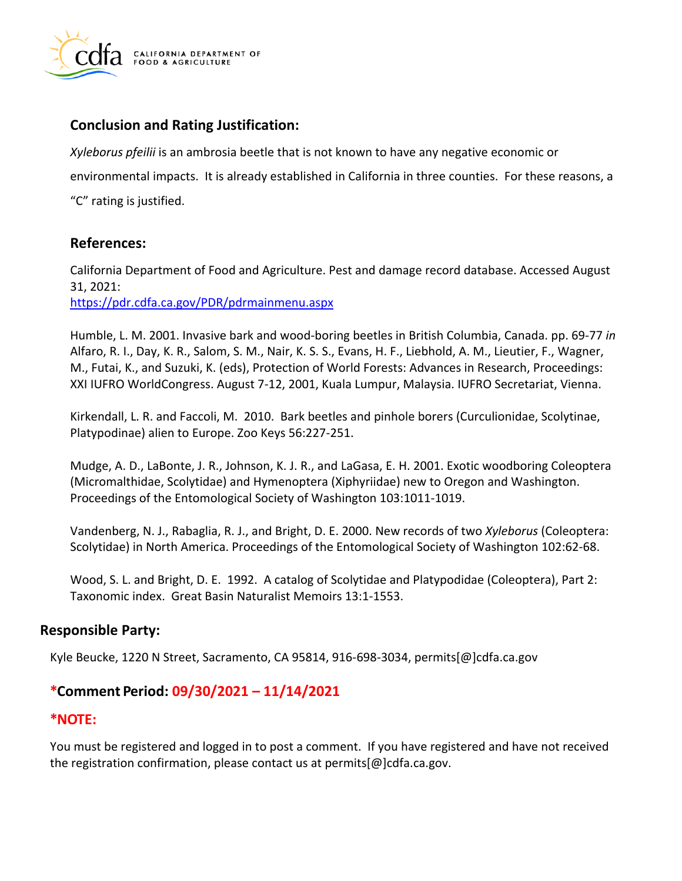

## **Conclusion and Rating Justification:**

*Xyleborus pfeilii* is an ambrosia beetle that is not known to have any negative economic or environmental impacts. It is already established in California in three counties. For these reasons, a "C" rating is justified.

## **References:**

California Department of Food and Agriculture. Pest and damage record database. Accessed August 31, 2021: <https://pdr.cdfa.ca.gov/PDR/pdrmainmenu.aspx>

Humble, L. M. 2001. Invasive bark and wood-boring beetles in British Columbia, Canada. pp. 69-77 *in*  Alfaro, R. I., Day, K. R., Salom, S. M., Nair, K. S. S., Evans, H. F., Liebhold, A. M., Lieutier, F., Wagner, M., Futai, K., and Suzuki, K. (eds), Protection of World Forests: Advances in Research, Proceedings: XXI IUFRO WorldCongress. August 7-12, 2001, Kuala Lumpur, Malaysia. IUFRO Secretariat, Vienna.

Kirkendall, L. R. and Faccoli, M. 2010. Bark beetles and pinhole borers (Curculionidae, Scolytinae, Platypodinae) alien to Europe. Zoo Keys 56:227-251.

Mudge, A. D., LaBonte, J. R., Johnson, K. J. R., and LaGasa, E. H. 2001. Exotic woodboring Coleoptera (Micromalthidae, Scolytidae) and Hymenoptera (Xiphyriidae) new to Oregon and Washington. Proceedings of the Entomological Society of Washington 103:1011-1019.

Vandenberg, N. J., Rabaglia, R. J., and Bright, D. E. 2000. New records of two *Xyleborus* (Coleoptera: Scolytidae) in North America. Proceedings of the Entomological Society of Washington 102:62-68.

Wood, S. L. and Bright, D. E. 1992. A catalog of Scolytidae and Platypodidae (Coleoptera), Part 2: Taxonomic index. Great Basin Naturalist Memoirs 13:1-1553.

## **Responsible Party:**

Kyle Beucke, 1220 N Street, Sacramento, CA 95814, 916-698-3034, [permits\[@\]cdfa.ca.gov](https://permits[@]cdfa.ca.gov) 

## **\*Comment Period: 09/30/2021 – 11/14/2021**

## **\*NOTE:**

You must be registered and logged in to post a comment. If you have registered and have not received the registration confirmation, please contact us at [permits\[@\]cdfa.ca.gov](https://permits[@]cdfa.ca.gov).